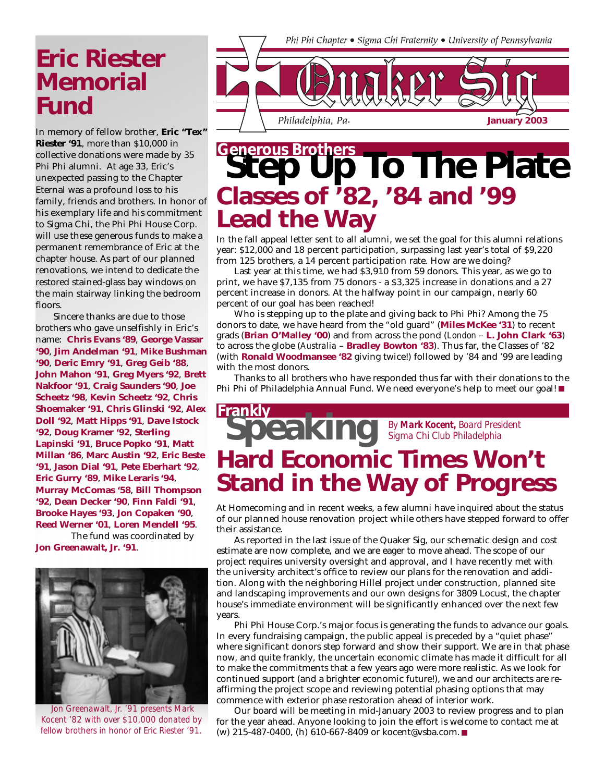## **Eric Riester Memorial Fund**

In memory of fellow brother, **Eric "Tex" Riester '91**, more than \$10,000 in collective donations were made by 35 Phi Phi alumni. At age 33, Eric's unexpected passing to the Chapter Eternal was a profound loss to his family, friends and brothers. In honor of his exemplary life and his commitment to Sigma Chi, the Phi Phi House Corp. will use these generous funds to make a permanent remembrance of Eric at the chapter house. As part of our planned renovations, we intend to dedicate the restored stained-glass bay windows on the main stairway linking the bedroom floors.

Sincere thanks are due to those brothers who gave unselfishly in Eric's name: **Chris Evans '89**, **George Vassar '90**, **Jim Andelman '91**, **Mike Bushman '90**, **Deric Emry '91**, **Greg Geib '88**, **John Mahon '91**, **Greg Myers '92**, **Brett Nakfoor '91**, **Craig Saunders '90**, **Joe Scheetz '98**, **Kevin Scheetz '92**, **Chris Shoemaker '91**, **Chris Glinski '92**, **Alex Doll '92**, **Matt Hipps '91**, **Dave Istock '92**, **Doug Kramer '92**, **Sterling Lapinski '91**, **Bruce Popko '91**, **Matt Millan '86**, **Marc Austin '92**, **Eric Beste '91**, **Jason Dial '91**, **Pete Eberhart '92**, **Eric Gurry '89**, **Mike Leraris '94**, **Murray McComas '58**, **Bill Thompson '92**, **Dean Decker '90**, **Finn Faldi '91**, **Brooke Hayes '93**, **Jon Copaken '90**, **Reed Werner '01**, **Loren Mendell '95**.

The fund was coordinated by **Jon Greenawalt, Jr. '91**.



 *Jon Greenawalt, Jr. '91 presents Mark Kocent '82 with over \$10,000 donated by fellow brothers in honor of Eric Riester '91.*



## **Classes of '82, '84 and '99 Lead the Way Step Up To The Plate Generous Brothers**

In the fall appeal letter sent to all alumni, we set the goal for this alumni relations year: \$12,000 and 18 percent participation, surpassing last year's total of \$9,220 from 125 brothers, a 14 percent participation rate. How are we doing?

Last year at this time, we had \$3,910 from 59 donors. This year, as we go to print, we have \$7,135 from 75 donors - a \$3,325 increase in donations and a 27 percent increase in donors. At the halfway point in our campaign, nearly 60 percent of our goal has been reached!

Who is stepping up to the plate and giving back to Phi Phi? Among the 75 donors to date, we have heard from the "old guard" (**Miles McKee '31**) to recent grads (**Brian O'Malley '00**) and from across the pond (*London* – **L. John Clark '63**) to across the globe (*Australia* – **Bradley Bowton '83**). Thus far, the Classes of '82 (with **Ronald Woodmansee '82** giving twice!) followed by '84 and '99 are leading with the most donors.

Thanks to all brothers who have responded thus far with their donations to the Phi Phi of Philadelphia Annual Fund. We need everyone's help to meet our goal!

### **Speaking Frankly** *By Mark Kocent, Board President Sigma Chi Club Philadelphia* **Hard Economic Times Won't Stand in the Way of Progress**

At Homecoming and in recent weeks, a few alumni have inquired about the status of our planned house renovation project while others have stepped forward to offer their assistance.

As reported in the last issue of the Quaker Sig, our schematic design and cost estimate are now complete, and we are eager to move ahead. The scope of our project requires university oversight and approval, and I have recently met with the university architect's office to review our plans for the renovation and addition. Along with the neighboring Hillel project under construction, planned site and landscaping improvements and our own designs for 3809 Locust, the chapter house's immediate environment will be significantly enhanced over the next few years.

Phi Phi House Corp.'s major focus is generating the funds to advance our goals. In every fundraising campaign, the public appeal is preceded by a "quiet phase" where significant donors step forward and show their support. We are in that phase now, and quite frankly, the uncertain economic climate has made it difficult for all to make the commitments that a few years ago were more realistic. As we look for continued support (and a brighter economic future!), we and our architects are reaffirming the project scope and reviewing potential phasing options that may commence with exterior phase restoration ahead of interior work.

Our board will be meeting in mid-January 2003 to review progress and to plan for the year ahead. Anyone looking to join the effort is welcome to contact me at (w) 215-487-0400, (h) 610-667-8409 or kocent@vsba.com.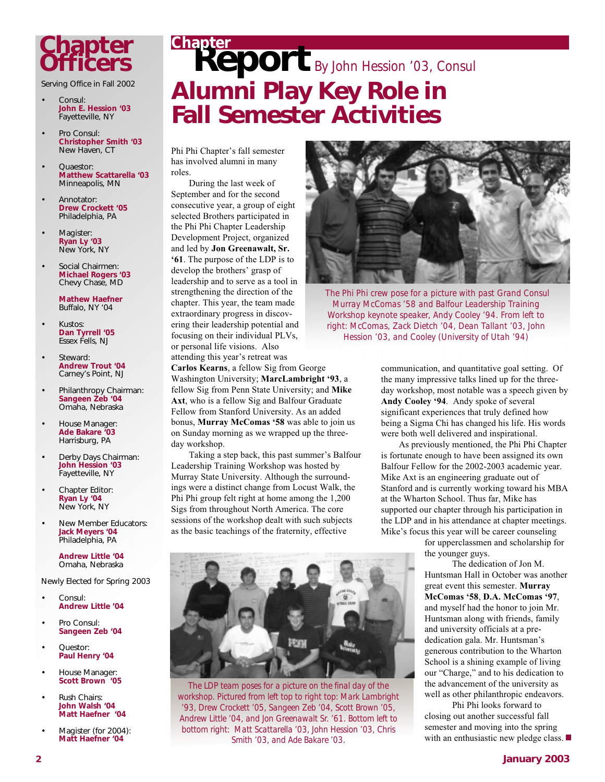## **Chapter Officers**

Serving Office in Fall 2002

- Consul: **John E. Hession '03** Fayetteville, NY
- Pro Consul: **Christopher Smith '03** New Haven, CT
- Quaestor: **Matthew Scattarella '03** Minneapolis, MN
- Annotator: **Drew Crockett '05** Philadelphia, PA
- Magister: **Ryan Ly '03** New York, NY
- Social Chairmen: **Michael Rogers '03** Chevy Chase, MD

**Mathew Haefner** Buffalo, NY '04

- Kustos: **Dan Tyrrell '05** Essex Fells, NJ
- Steward: **Andrew Trout '04** Carney's Point, NJ
- Philanthropy Chairman: **Sangeen Zeb '04** Omaha, Nebraska
- House Manager: **Ade Bakare '03** Harrisburg, PA
- Derby Days Chairman: **John Hession '03** Fayetteville, NY
- Chapter Editor: **Ryan Ly '04** New York, NY
- New Member Educators: **Jack Meyers '04** Philadelphia, PA

**Andrew Little '04** Omaha, Nebraska

Newly Elected for Spring 2003

- Consul: **Andrew Little '04**
- Pro Consul: **Sangeen Zeb '04**
- Questor: **Paul Henry '04**
- House Manager: **Scott Brown '05**
- Rush Chairs: **John Walsh '04 Matt Haefner '04**
- Magister (for 2004): **Matt Haefner '04**

# **Report Chapter** *By John Hession '03, Consul* **Alumni Play Key Role in Fall Semester Activities**

Phi Phi Chapter's fall semester has involved alumni in many roles.

During the last week of September and for the second consecutive year, a group of eight selected Brothers participated in the Phi Phi Chapter Leadership Development Project, organized and led by **Jon Greenawalt, Sr. '61**. The purpose of the LDP is to develop the brothers' grasp of leadership and to serve as a tool in strengthening the direction of the chapter. This year, the team made extraordinary progress in discovering their leadership potential and focusing on their individual PLVs, or personal life visions. Also attending this year's retreat was

**Carlos Kearns**, a fellow Sig from George Washington University; **MarcLambright '93**, a fellow Sig from Penn State University; and **Mike Axt**, who is a fellow Sig and Balfour Graduate Fellow from Stanford University. As an added bonus, **Murray McComas '58** was able to join us on Sunday morning as we wrapped up the threeday workshop.

Taking a step back, this past summer's Balfour Leadership Training Workshop was hosted by Murray State University. Although the surroundings were a distinct change from Locust Walk, the Phi Phi group felt right at home among the 1,200 Sigs from throughout North America. The core sessions of the workshop dealt with such subjects as the basic teachings of the fraternity, effective



*The LDP team poses for a picture on the final day of the workshop. Pictured from left top to right top: Mark Lambright '93, Drew Crockett '05, Sangeen Zeb '04, Scott Brown '05, Andrew Little '04, and Jon Greenawalt Sr. '61. Bottom left to bottom right: Matt Scattarella '03, John Hession '03, Chris Smith '03, and Ade Bakare '03.*



 *The Phi Phi crew pose for a picture with past Grand Consul Murray McComas '58 and Balfour Leadership Training Workshop keynote speaker, Andy Cooley '94. From left to right: McComas, Zack Dietch '04, Dean Tallant '03, John Hession '03, and Cooley (University of Utah '94)*

communication, and quantitative goal setting. Of the many impressive talks lined up for the threeday workshop, most notable was a speech given by **Andy Cooley '94**. Andy spoke of several significant experiences that truly defined how being a Sigma Chi has changed his life. His words were both well delivered and inspirational.

As previously mentioned, the Phi Phi Chapter is fortunate enough to have been assigned its own Balfour Fellow for the 2002-2003 academic year. Mike Axt is an engineering graduate out of Stanford and is currently working toward his MBA at the Wharton School. Thus far, Mike has supported our chapter through his participation in the LDP and in his attendance at chapter meetings. Mike's focus this year will be career counseling

> for upperclassmen and scholarship for the younger guys.

The dedication of Jon M. Huntsman Hall in October was another great event this semester. **Murray McComas '58**, **D.A. McComas '97**, and myself had the honor to join Mr. Huntsman along with friends, family and university officials at a prededication gala. Mr. Huntsman's generous contribution to the Wharton School is a shining example of living our "Charge," and to his dedication to the advancement of the university as well as other philanthropic endeavors.

Phi Phi looks forward to closing out another successful fall semester and moving into the spring with an enthusiastic new pledge class.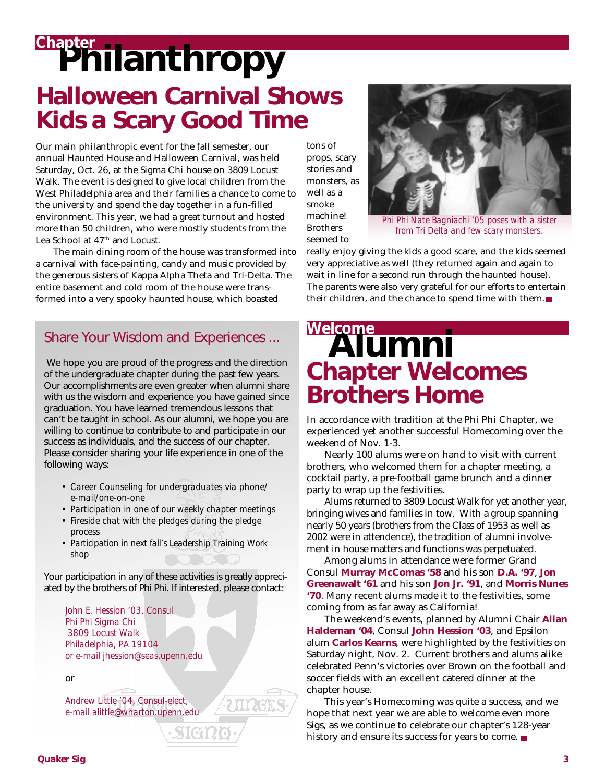# **Philanthropy Chapter Halloween Carnival Shows Kids a Scary Good Time**

Our main philanthropic event for the fall semester, our annual Haunted House and Halloween Carnival, was held Saturday, Oct. 26, at the Sigma Chi house on 3809 Locust Walk. The event is designed to give local children from the West Philadelphia area and their families a chance to come to the university and spend the day together in a fun-filled environment. This year, we had a great turnout and hosted more than 50 children, who were mostly students from the Lea School at 47th and Locust.

The main dining room of the house was transformed into a carnival with face-painting, candy and music provided by the generous sisters of Kappa Alpha Theta and Tri-Delta. The entire basement and cold room of the house were transformed into a very spooky haunted house, which boasted

### Share Your Wisdom and Experiences ...

We hope you are proud of the progress and the direction of the undergraduate chapter during the past few years. Our accomplishments are even greater when alumni share with us the wisdom and experience you have gained since graduation. You have learned tremendous lessons that can't be taught in school. As our alumni, we hope you are willing to continue to contribute to and participate in our success as individuals, and the success of our chapter. Please consider sharing your life experience in one of the following ways:

- *Career Counseling for undergraduates via phone/ e-mail/one-on-one*
- *Participation in one of our weekly chapter meetings*
- *Fireside chat with the pledges during the pledge process*
- *Participation in next fall's Leadership Training Work shop*

Your participation in any of these activities is greatly appreciated by the brothers of Phi Phi. If interested, please contact:

SI CA

*John E. Hession '03, Consul Phi Phi Sigma Chi 3809 Locust Walk Philadelphia, PA 19104 or e-mail jhession@seas.upenn.edu*

or

*Andrew Little '04, Consul-elect, e-mail alittle@wharton.upenn.edu* tons of props, scary stories and monsters, as well as a smoke machine! **Brothers** seemed to



*Phi Phi Nate Bagniachi '05 poses with a sister from Tri Delta and few scary monsters.*

really enjoy giving the kids a good scare, and the kids seemed very appreciative as well (they returned again and again to wait in line for a second run through the haunted house). The parents were also very grateful for our efforts to entertain their children, and the chance to spend time with them.

## **Alumni Welcome Chapter Welcomes Brothers Home**

In accordance with tradition at the Phi Phi Chapter, we experienced yet another successful Homecoming over the weekend of Nov. 1-3.

Nearly 100 alums were on hand to visit with current brothers, who welcomed them for a chapter meeting, a cocktail party, a pre-football game brunch and a dinner party to wrap up the festivities.

Alums returned to 3809 Locust Walk for yet another year, bringing wives and families in tow. With a group spanning nearly 50 years (brothers from the Class of 1953 as well as 2002 were in attendence), the tradition of alumni involvement in house matters and functions was perpetuated.

Among alums in attendance were former Grand Consul **Murray McComas '58** and his son **D.A. '97**, **Jon Greenawalt '61** and his son **Jon Jr. '91**, and **Morris Nunes '70**. Many recent alums made it to the festivities, some coming from as far away as California!

The weekend's events, planned by Alumni Chair **Allan Haldeman '04**, Consul **John Hession '03**, and Epsilon alum **Carlos Kearns**, were highlighted by the festivities on Saturday night, Nov. 2. Current brothers and alums alike celebrated Penn's victories over Brown on the football and soccer fields with an excellent catered dinner at the chapter house.

This year's Homecoming was quite a success, and we hope that next year we are able to welcome even more Sigs, as we continue to celebrate our chapter's 128-year history and ensure its success for years to come.